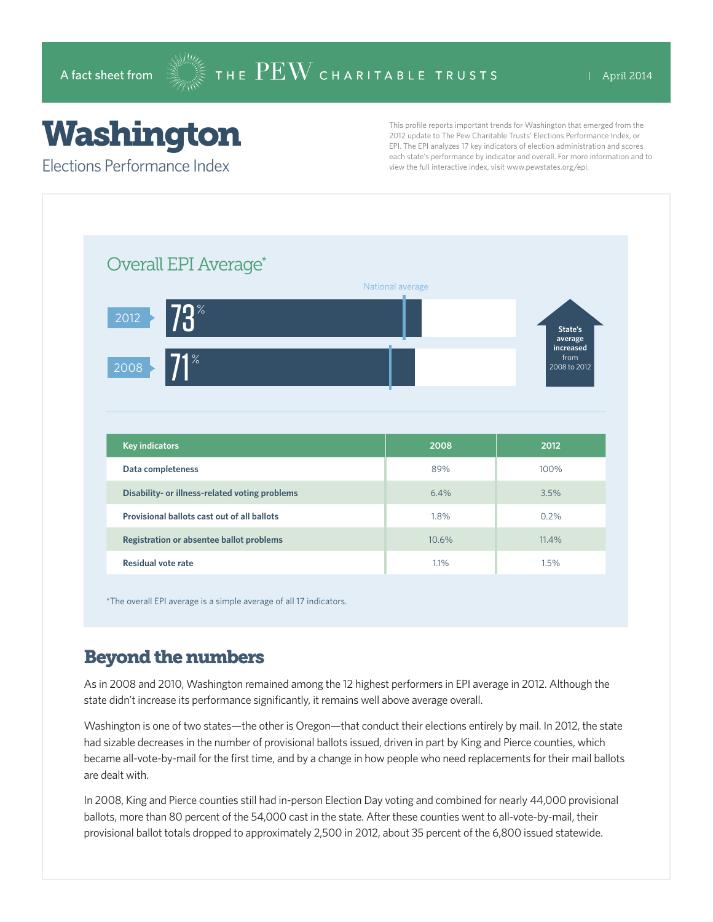# Washington

Elections Performance Index

This profile reports important trends for Washington that emerged from the 2012 update to The Pew Charitable Trusts' Elections Performance Index, or EPI. The EPI analyzes 17 key indicators of election administration and scores each state's performance by indicator and overall. For more information and to view the full interactive index, visit www.pewstates.org/epi.

| Overall EPI Average*                           |                  |                                   |
|------------------------------------------------|------------------|-----------------------------------|
|                                                | National average |                                   |
| $73^*$<br>2012                                 |                  | State's<br>average                |
| $\overline{71^*}$<br>2008                      |                  | increased<br>from<br>2008 to 2012 |
|                                                |                  |                                   |
|                                                |                  |                                   |
|                                                |                  |                                   |
| <b>Key indicators</b>                          | 2008             | 2012                              |
| Data completeness                              | 89%              | 100%                              |
| Disability- or illness-related voting problems | 6.4%             | 3.5%                              |
| Provisional ballots cast out of all ballots    | 1.8%             | 0.2%                              |
| Registration or absentee ballot problems       | 10.6%            | 11.4%                             |

\*The overall EPI average is a simple average of all 17 indicators.

### Beyond the numbers

As in 2008 and 2010, Washington remained among the 12 highest performers in EPI average in 2012. Although the state didn't increase its performance significantly, it remains well above average overall.

Washington is one of two states—the other is Oregon—that conduct their elections entirely by mail. In 2012, the state had sizable decreases in the number of provisional ballots issued, driven in part by King and Pierce counties, which became all-vote-by-mail for the first time, and by a change in how people who need replacements for their mail ballots are dealt with.

In 2008, King and Pierce counties still had in-person Election Day voting and combined for nearly 44,000 provisional ballots, more than 80 percent of the 54,000 cast in the state. After these counties went to all-vote-by-mail, their provisional ballot totals dropped to approximately 2,500 in 2012, about 35 percent of the 6,800 issued statewide.